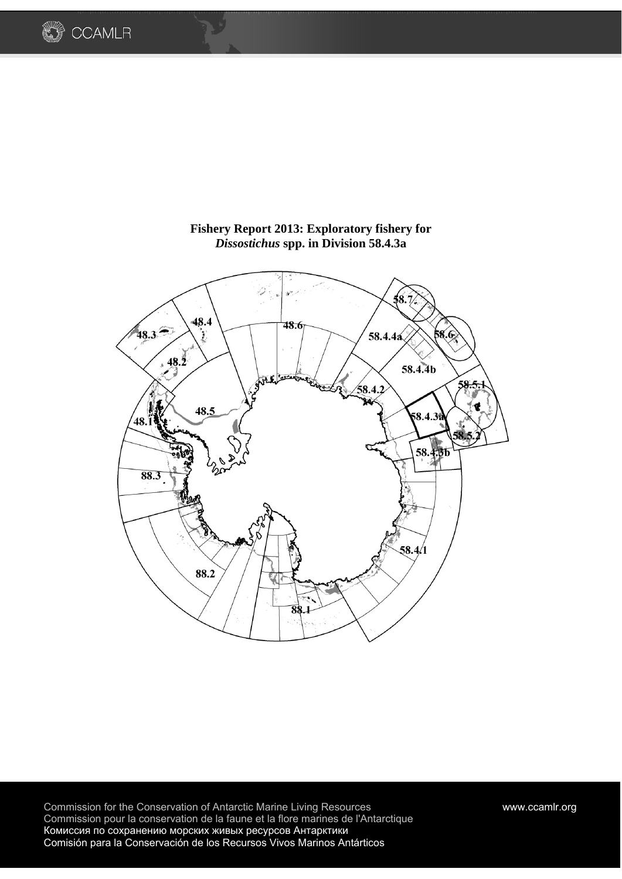

## **Fishery Report 2013: Exploratory fishery for**  *Dissostichus* **spp. in Division 58.4.3a**

**COAMLR** 

Commission for the Conservation of Antarctic Marine Living Resources www.ccamlr.org Commission pour la conservation de la faune et la flore marines de l'Antarctique Комиссия по сохранению морских живых ресурсов Антарктики Comisión para la Conservación de los Recursos Vivos Marinos Antárticos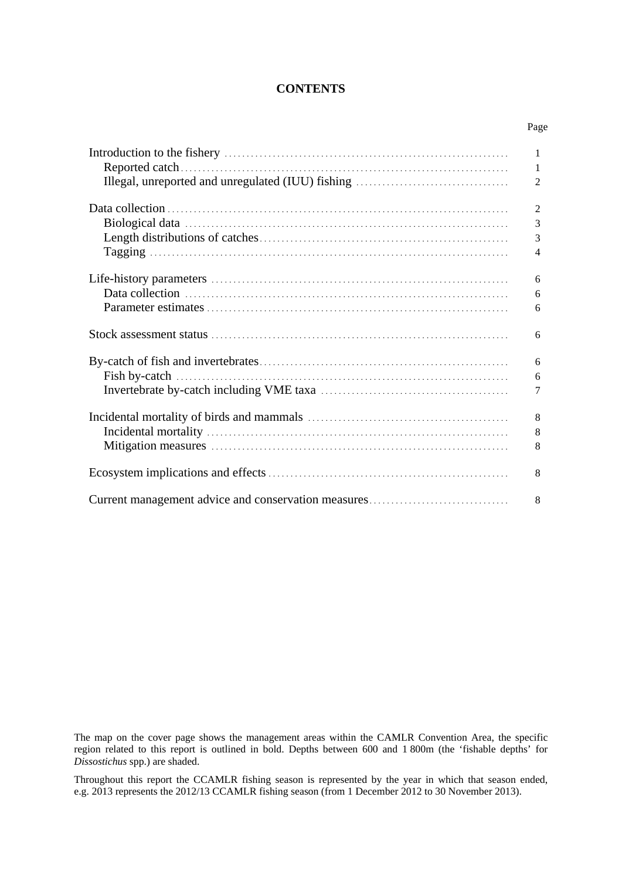## **CONTENTS**

Page

|                                                     | 1              |
|-----------------------------------------------------|----------------|
|                                                     | 1              |
|                                                     | 2              |
|                                                     | $\overline{2}$ |
|                                                     | 3              |
|                                                     |                |
|                                                     | 3              |
|                                                     | $\overline{4}$ |
|                                                     | 6              |
|                                                     | 6              |
|                                                     | 6              |
|                                                     |                |
|                                                     | 6              |
|                                                     | 6              |
|                                                     | 6              |
|                                                     |                |
|                                                     | 7              |
|                                                     | 8              |
|                                                     | 8              |
|                                                     | 8              |
|                                                     |                |
|                                                     | 8              |
| Current management advice and conservation measures | 8              |
|                                                     |                |

The map on the cover page shows the management areas within the CAMLR Convention Area, the specific region related to this report is outlined in bold. Depths between 600 and 1 800m (the 'fishable depths' for *Dissostichus* spp.) are shaded.

Throughout this report the CCAMLR fishing season is represented by the year in which that season ended, e.g. 2013 represents the 2012/13 CCAMLR fishing season (from 1 December 2012 to 30 November 2013).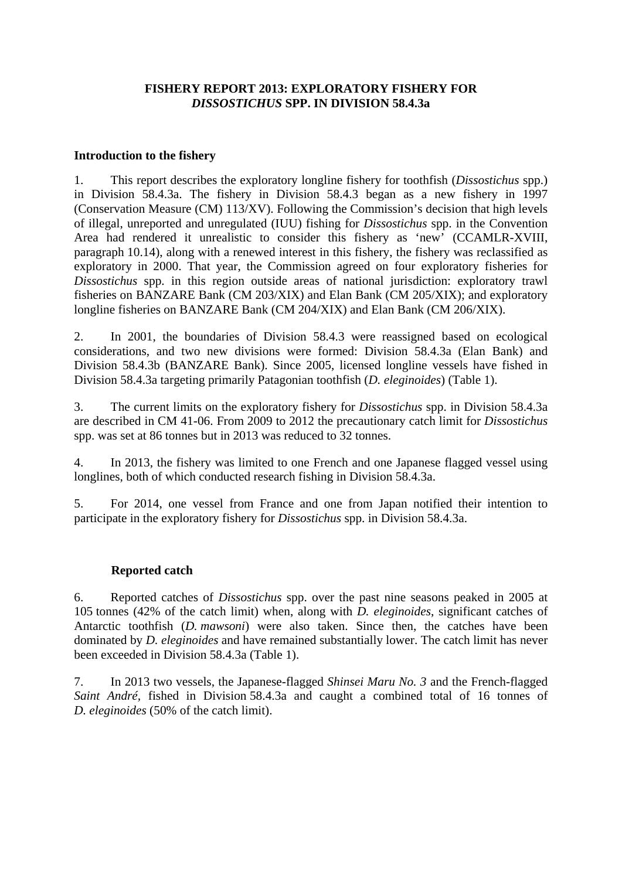## **FISHERY REPORT 2013: EXPLORATORY FISHERY FOR**  *DISSOSTICHUS* **SPP. IN DIVISION 58.4.3a**

## **Introduction to the fishery**

1. This report describes the exploratory longline fishery for toothfish (*Dissostichus* spp.) in Division 58.4.3a. The fishery in Division 58.4.3 began as a new fishery in 1997 (Conservation Measure (CM) 113/XV). Following the Commission's decision that high levels of illegal, unreported and unregulated (IUU) fishing for *Dissostichus* spp. in the Convention Area had rendered it unrealistic to consider this fishery as 'new' (CCAMLR-XVIII, paragraph 10.14), along with a renewed interest in this fishery, the fishery was reclassified as exploratory in 2000. That year, the Commission agreed on four exploratory fisheries for *Dissostichus* spp. in this region outside areas of national jurisdiction: exploratory trawl fisheries on BANZARE Bank (CM 203/XIX) and Elan Bank (CM 205/XIX); and exploratory longline fisheries on BANZARE Bank (CM 204/XIX) and Elan Bank (CM 206/XIX).

2. In 2001, the boundaries of Division 58.4.3 were reassigned based on ecological considerations, and two new divisions were formed: Division 58.4.3a (Elan Bank) and Division 58.4.3b (BANZARE Bank). Since 2005, licensed longline vessels have fished in Division 58.4.3a targeting primarily Patagonian toothfish (*D. eleginoides*) (Table 1).

3. The current limits on the exploratory fishery for *Dissostichus* spp. in Division 58.4.3a are described in CM 41-06. From 2009 to 2012 the precautionary catch limit for *Dissostichus* spp. was set at 86 tonnes but in 2013 was reduced to 32 tonnes.

4. In 2013, the fishery was limited to one French and one Japanese flagged vessel using longlines, both of which conducted research fishing in Division 58.4.3a.

5. For 2014, one vessel from France and one from Japan notified their intention to participate in the exploratory fishery for *Dissostichus* spp. in Division 58.4.3a.

# **Reported catch**

6. Reported catches of *Dissostichus* spp. over the past nine seasons peaked in 2005 at 105 tonnes (42% of the catch limit) when, along with *D. eleginoides*, significant catches of Antarctic toothfish (*D. mawsoni*) were also taken. Since then, the catches have been dominated by *D. eleginoides* and have remained substantially lower. The catch limit has never been exceeded in Division 58.4.3a (Table 1).

7. In 2013 two vessels, the Japanese-flagged *Shinsei Maru No. 3* and the French-flagged *Saint André,* fished in Division 58.4.3a and caught a combined total of 16 tonnes of *D. eleginoides* (50% of the catch limit).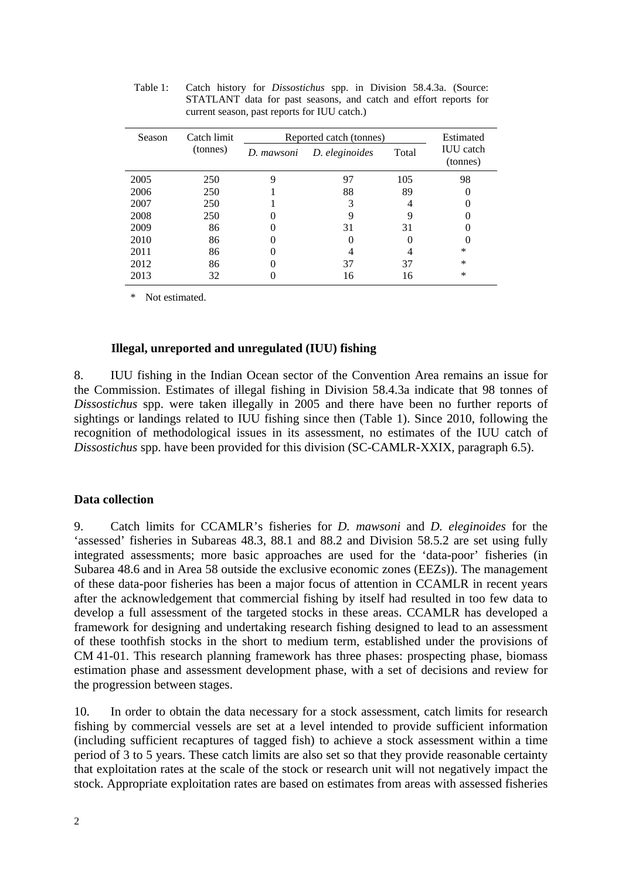| Season | Catch limit | Reported catch (tonnes) | Estimated      |       |                              |
|--------|-------------|-------------------------|----------------|-------|------------------------------|
|        | (tonnes)    | D. mawsoni              | D. eleginoides | Total | <b>IUU</b> catch<br>(tonnes) |
| 2005   | 250         | 9                       | 97             | 105   | 98                           |
| 2006   | 250         |                         | 88             | 89    |                              |
| 2007   | 250         |                         | 3              |       |                              |
| 2008   | 250         |                         |                |       |                              |
| 2009   | 86          |                         | 31             | 31    |                              |
| 2010   | 86          |                         |                |       |                              |
| 2011   | 86          |                         |                |       | *                            |
| 2012   | 86          |                         | 37             | 37    | *                            |
| 2013   | 32          |                         | 16             | 16    | ∗                            |

Table 1: Catch history for *Dissostichus* spp. in Division 58.4.3a. (Source: STATLANT data for past seasons, and catch and effort reports for current season, past reports for IUU catch.)

\* Not estimated.

#### **Illegal, unreported and unregulated (IUU) fishing**

8. IUU fishing in the Indian Ocean sector of the Convention Area remains an issue for the Commission. Estimates of illegal fishing in Division 58.4.3a indicate that 98 tonnes of *Dissostichus* spp. were taken illegally in 2005 and there have been no further reports of sightings or landings related to IUU fishing since then (Table 1). Since 2010, following the recognition of methodological issues in its assessment, no estimates of the IUU catch of *Dissostichus* spp. have been provided for this division (SC-CAMLR-XXIX, paragraph 6.5).

## **Data collection**

9. Catch limits for CCAMLR's fisheries for *D. mawsoni* and *D. eleginoides* for the 'assessed' fisheries in Subareas 48.3, 88.1 and 88.2 and Division 58.5.2 are set using fully integrated assessments; more basic approaches are used for the 'data-poor' fisheries (in Subarea 48.6 and in Area 58 outside the exclusive economic zones (EEZs)). The management of these data-poor fisheries has been a major focus of attention in CCAMLR in recent years after the acknowledgement that commercial fishing by itself had resulted in too few data to develop a full assessment of the targeted stocks in these areas. CCAMLR has developed a framework for designing and undertaking research fishing designed to lead to an assessment of these toothfish stocks in the short to medium term, established under the provisions of CM 41-01. This research planning framework has three phases: prospecting phase, biomass estimation phase and assessment development phase, with a set of decisions and review for the progression between stages.

10. In order to obtain the data necessary for a stock assessment, catch limits for research fishing by commercial vessels are set at a level intended to provide sufficient information (including sufficient recaptures of tagged fish) to achieve a stock assessment within a time period of 3 to 5 years. These catch limits are also set so that they provide reasonable certainty that exploitation rates at the scale of the stock or research unit will not negatively impact the stock. Appropriate exploitation rates are based on estimates from areas with assessed fisheries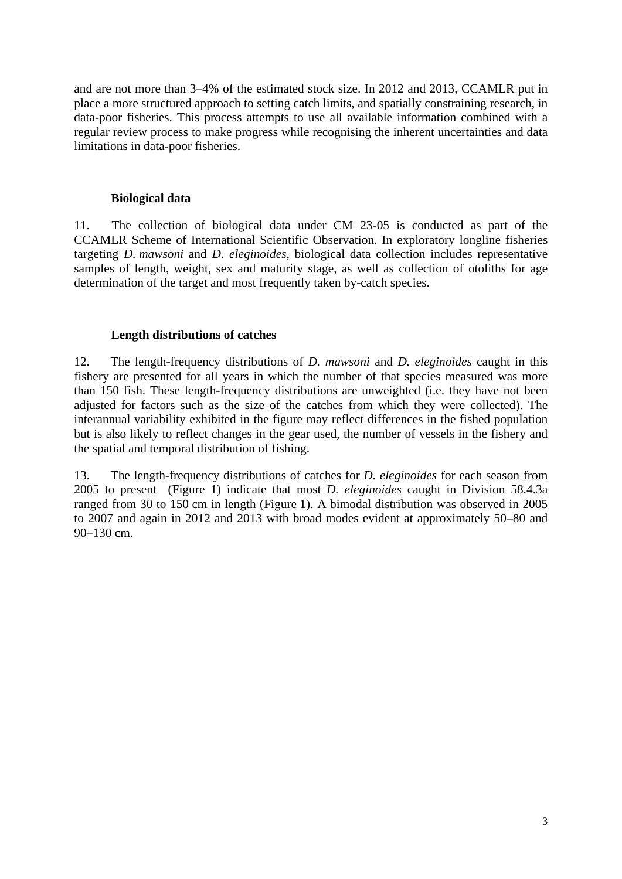and are not more than 3–4% of the estimated stock size. In 2012 and 2013, CCAMLR put in place a more structured approach to setting catch limits, and spatially constraining research, in data-poor fisheries. This process attempts to use all available information combined with a regular review process to make progress while recognising the inherent uncertainties and data limitations in data-poor fisheries.

### **Biological data**

11. The collection of biological data under CM 23-05 is conducted as part of the CCAMLR Scheme of International Scientific Observation. In exploratory longline fisheries targeting *D. mawsoni* and *D. eleginoides,* biological data collection includes representative samples of length, weight, sex and maturity stage, as well as collection of otoliths for age determination of the target and most frequently taken by-catch species.

## **Length distributions of catches**

12. The length-frequency distributions of *D. mawsoni* and *D. eleginoides* caught in this fishery are presented for all years in which the number of that species measured was more than 150 fish. These length-frequency distributions are unweighted (i.e. they have not been adjusted for factors such as the size of the catches from which they were collected). The interannual variability exhibited in the figure may reflect differences in the fished population but is also likely to reflect changes in the gear used, the number of vessels in the fishery and the spatial and temporal distribution of fishing.

13. The length-frequency distributions of catches for *D. eleginoides* for each season from 2005 to present (Figure 1) indicate that most *D. eleginoides* caught in Division 58.4.3a ranged from 30 to 150 cm in length (Figure 1). A bimodal distribution was observed in 2005 to 2007 and again in 2012 and 2013 with broad modes evident at approximately 50–80 and 90–130 cm.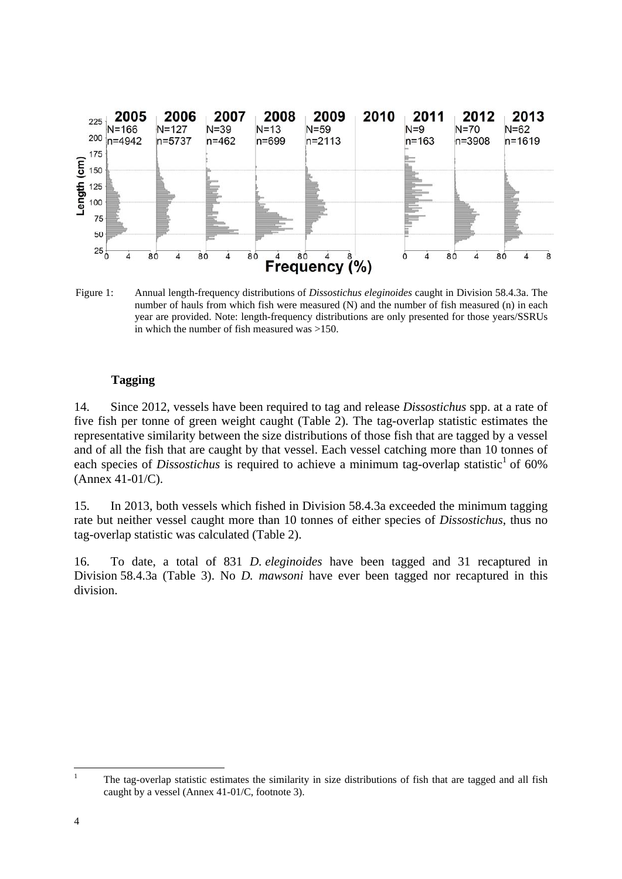

Figure 1: Annual length-frequency distributions of *Dissostichus eleginoides* caught in Division 58.4.3a. The number of hauls from which fish were measured (N) and the number of fish measured (n) in each year are provided. Note: length-frequency distributions are only presented for those years/SSRUs in which the number of fish measured was >150.

## **Tagging**

14. Since 2012, vessels have been required to tag and release *Dissostichus* spp. at a rate of five fish per tonne of green weight caught (Table 2). The tag-overlap statistic estimates the representative similarity between the size distributions of those fish that are tagged by a vessel and of all the fish that are caught by that vessel. Each vessel catching more than 10 tonnes of each species of *Dissostichus* is required to achieve a minimum tag-overlap statistic<sup>1</sup> of 60% (Annex 41-01/C).

15. In 2013, both vessels which fished in Division 58.4.3a exceeded the minimum tagging rate but neither vessel caught more than 10 tonnes of either species of *Dissostichus*, thus no tag-overlap statistic was calculated (Table 2).

16. To date, a total of 831 *D. eleginoides* have been tagged and 31 recaptured in Division 58.4.3a (Table 3). No *D. mawsoni* have ever been tagged nor recaptured in this division.

 $\frac{1}{1}$  The tag-overlap statistic estimates the similarity in size distributions of fish that are tagged and all fish caught by a vessel (Annex 41-01/C, footnote 3).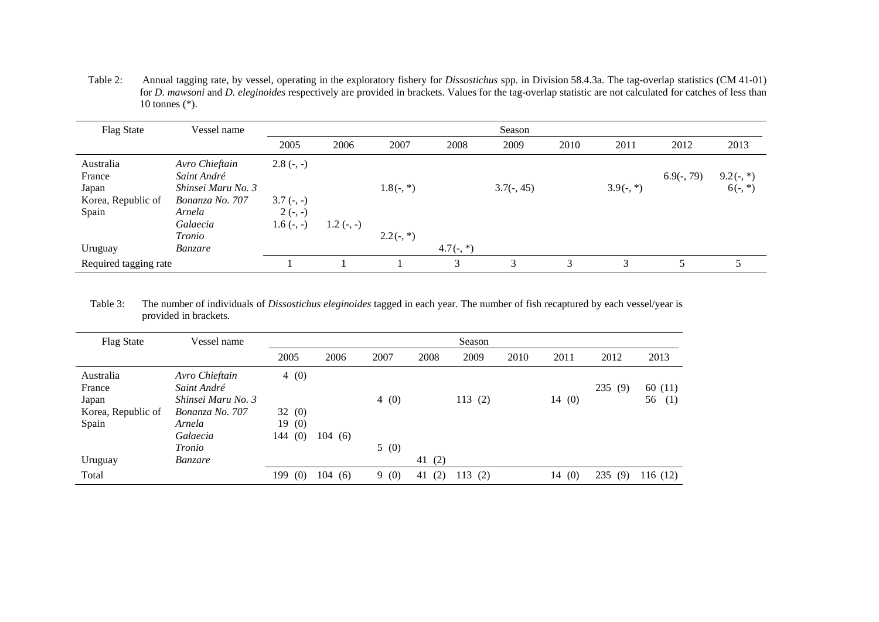Table 2: Annual tagging rate, by vessel, operating in the exploratory fishery for *Dissostichus* spp. in Division 58.4.3a. The tag-overlap statistics (CM 41-01) for *D. mawsoni* and *D. eleginoides* respectively are provided in brackets. Values for the tag-overlap statistic are not calculated for catches of less than 10 tonnes (\*).

| <b>Flag State</b>                                           | Vessel name                                                                                  | Season                                                 |             |             |             |              |      |             |              |                          |
|-------------------------------------------------------------|----------------------------------------------------------------------------------------------|--------------------------------------------------------|-------------|-------------|-------------|--------------|------|-------------|--------------|--------------------------|
|                                                             |                                                                                              | 2005                                                   | 2006        | 2007        | 2008        | 2009         | 2010 | 2011        | 2012         | 2013                     |
| Australia<br>France<br>Japan<br>Korea, Republic of<br>Spain | Avro Chieftain<br>Saint André<br>Shinsei Maru No. 3<br>Bonanza No. 707<br>Arnela<br>Galaecia | $2.8(-, -)$<br>$3.7(-, -)$<br>$2(-, -)$<br>$1.6(-, -)$ | $1.2(-, -)$ | $1.8(-, *)$ |             | $3.7(-, 45)$ |      | $3.9(-, *)$ | $6.9(-, 79)$ | $9.2(-, *)$<br>$6(-, *)$ |
| Uruguay                                                     | Tronio<br><i>Banzare</i>                                                                     |                                                        |             | $2.2(-, *)$ | $4.7(-, *)$ |              |      |             |              |                          |
| Required tagging rate                                       |                                                                                              |                                                        |             |             | 3           | 3            | 3    | 3           |              |                          |

Table 3: The number of individuals of *Dissostichus eleginoides* tagged in each year. The number of fish recaptured by each vessel/year is provided in brackets.

| <b>Flag State</b>  | Vessel name        | Season     |        |      |           |        |      |       |            |           |
|--------------------|--------------------|------------|--------|------|-----------|--------|------|-------|------------|-----------|
|                    |                    | 2005       | 2006   | 2007 | 2008      | 2009   | 2010 | 2011  | 2012       | 2013      |
| Australia          | Avro Chieftain     | 4(0)       |        |      |           |        |      |       |            |           |
| France             | Saint André        |            |        |      |           |        |      |       | 235(9)     | 60(11)    |
| Japan              | Shinsei Maru No. 3 |            |        | 4(0) |           | 113(2) |      | 14(0) |            | 56<br>(1) |
| Korea, Republic of | Bonanza No. 707    | 32(0)      |        |      |           |        |      |       |            |           |
| Spain              | Arnela             | 19(0)      |        |      |           |        |      |       |            |           |
|                    | Galaecia           | 144(0)     | 104(6) |      |           |        |      |       |            |           |
|                    | Tronio             |            |        | 5(0) |           |        |      |       |            |           |
| Uruguay            | Banzare            |            |        |      | 41 $(2)$  |        |      |       |            |           |
| Total              |                    | 199<br>(0) | 104(6) | 9(0) | (2)<br>41 | 113(2) |      | 14(0) | 235<br>(9) | 116 (12)  |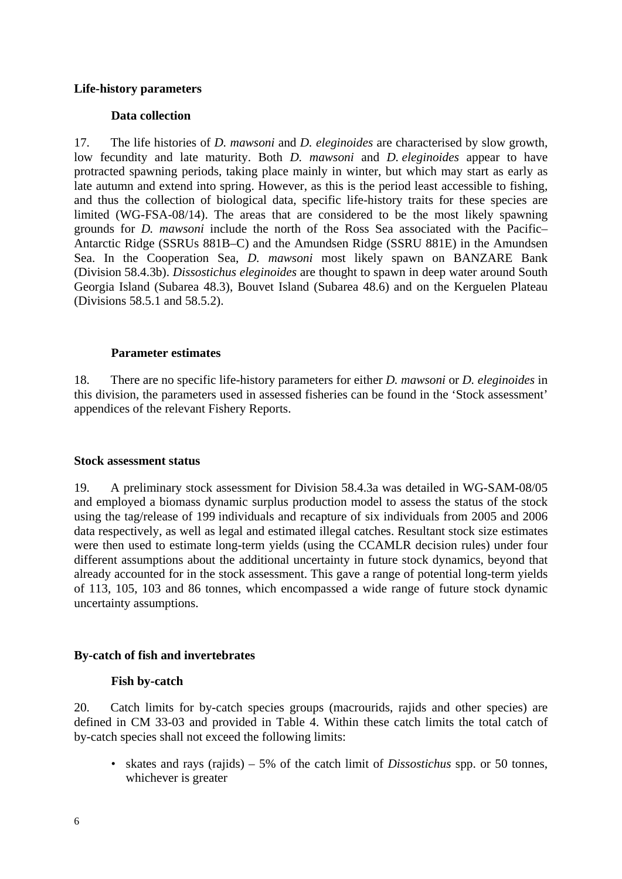## **Life-history parameters**

### **Data collection**

17. The life histories of *D. mawsoni* and *D. eleginoides* are characterised by slow growth, low fecundity and late maturity. Both *D. mawsoni* and *D. eleginoides* appear to have protracted spawning periods, taking place mainly in winter, but which may start as early as late autumn and extend into spring. However, as this is the period least accessible to fishing, and thus the collection of biological data, specific life-history traits for these species are limited (WG-FSA-08/14). The areas that are considered to be the most likely spawning grounds for *D. mawsoni* include the north of the Ross Sea associated with the Pacific– Antarctic Ridge (SSRUs 881B–C) and the Amundsen Ridge (SSRU 881E) in the Amundsen Sea. In the Cooperation Sea, *D. mawsoni* most likely spawn on BANZARE Bank (Division 58.4.3b). *Dissostichus eleginoides* are thought to spawn in deep water around South Georgia Island (Subarea 48.3), Bouvet Island (Subarea 48.6) and on the Kerguelen Plateau (Divisions 58.5.1 and 58.5.2).

### **Parameter estimates**

18. There are no specific life-history parameters for either *D. mawsoni* or *D. eleginoides* in this division, the parameters used in assessed fisheries can be found in the 'Stock assessment' appendices of the relevant Fishery Reports.

#### **Stock assessment status**

19. A preliminary stock assessment for Division 58.4.3a was detailed in WG-SAM-08/05 and employed a biomass dynamic surplus production model to assess the status of the stock using the tag/release of 199 individuals and recapture of six individuals from 2005 and 2006 data respectively, as well as legal and estimated illegal catches. Resultant stock size estimates were then used to estimate long-term yields (using the CCAMLR decision rules) under four different assumptions about the additional uncertainty in future stock dynamics, beyond that already accounted for in the stock assessment. This gave a range of potential long-term yields of 113, 105, 103 and 86 tonnes, which encompassed a wide range of future stock dynamic uncertainty assumptions.

## **By-catch of fish and invertebrates**

#### **Fish by-catch**

20. Catch limits for by-catch species groups (macrourids, rajids and other species) are defined in CM 33-03 and provided in Table 4. Within these catch limits the total catch of by-catch species shall not exceed the following limits:

• skates and rays (rajids) – 5% of the catch limit of *Dissostichus* spp. or 50 tonnes, whichever is greater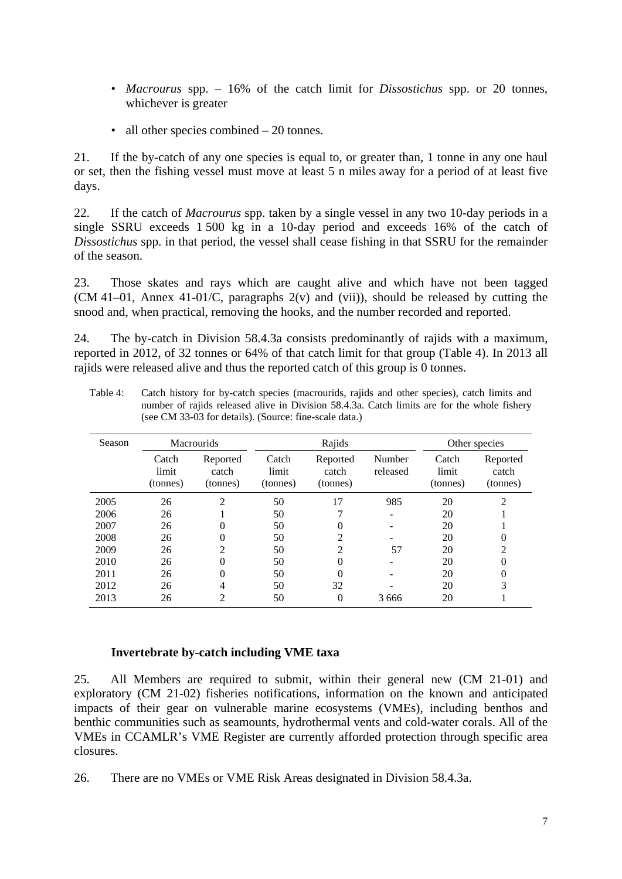- *Macrourus* spp. 16% of the catch limit for *Dissostichus* spp. or 20 tonnes, whichever is greater
- all other species combined 20 tonnes.

21. If the by-catch of any one species is equal to, or greater than, 1 tonne in any one haul or set, then the fishing vessel must move at least 5 n miles away for a period of at least five days.

22. If the catch of *Macrourus* spp. taken by a single vessel in any two 10-day periods in a single SSRU exceeds 1 500 kg in a 10-day period and exceeds 16% of the catch of *Dissostichus* spp. in that period, the vessel shall cease fishing in that SSRU for the remainder of the season.

23. Those skates and rays which are caught alive and which have not been tagged (CM 41–01, Annex 41-01/C, paragraphs 2(v) and (vii)), should be released by cutting the snood and, when practical, removing the hooks, and the number recorded and reported.

24. The by-catch in Division 58.4.3a consists predominantly of rajids with a maximum, reported in 2012, of 32 tonnes or 64% of that catch limit for that group (Table 4). In 2013 all rajids were released alive and thus the reported catch of this group is 0 tonnes.

| Season |                            | <b>Macrourids</b>             |                            | Rajids                        |                    |                            | Other species                 |  |  |
|--------|----------------------------|-------------------------------|----------------------------|-------------------------------|--------------------|----------------------------|-------------------------------|--|--|
|        | Catch<br>limit<br>(tonnes) | Reported<br>catch<br>(tonnes) | Catch<br>limit<br>(tonnes) | Reported<br>catch<br>(tonnes) | Number<br>released | Catch<br>limit<br>(tonnes) | Reported<br>catch<br>(tonnes) |  |  |
| 2005   | 26                         | 2                             | 50                         | 17                            | 985                | 20                         | 2                             |  |  |
| 2006   | 26                         |                               | 50                         |                               |                    | 20                         |                               |  |  |
| 2007   | 26                         | 0                             | 50                         | 0                             |                    | 20                         |                               |  |  |
| 2008   | 26                         | 0                             | 50                         | 2                             |                    | 20                         |                               |  |  |
| 2009   | 26                         | 2                             | 50                         | 2                             | 57                 | 20                         | $\mathfrak{D}$                |  |  |
| 2010   | 26                         | 0                             | 50                         | 0                             |                    | 20                         |                               |  |  |
| 2011   | 26                         | 0                             | 50                         | 0                             |                    | 20                         | $\Omega$                      |  |  |
| 2012   | 26                         | 4                             | 50                         | 32                            |                    | 20                         | 3                             |  |  |
| 2013   | 26                         | 2                             | 50                         | 0                             | 3 6 6 6            | 20                         |                               |  |  |

Table 4: Catch history for by-catch species (macrourids, rajids and other species), catch limits and number of rajids released alive in Division 58.4.3a. Catch limits are for the whole fishery (see CM 33-03 for details). (Source: fine-scale data.)

# **Invertebrate by-catch including VME taxa**

25. All Members are required to submit, within their general new (CM 21-01) and exploratory (CM 21-02) fisheries notifications, information on the known and anticipated impacts of their gear on vulnerable marine ecosystems (VMEs), including benthos and benthic communities such as seamounts, hydrothermal vents and cold-water corals. All of the VMEs in CCAMLR's VME Register are currently afforded protection through specific area closures.

26. There are no VMEs or VME Risk Areas designated in Division 58.4.3a.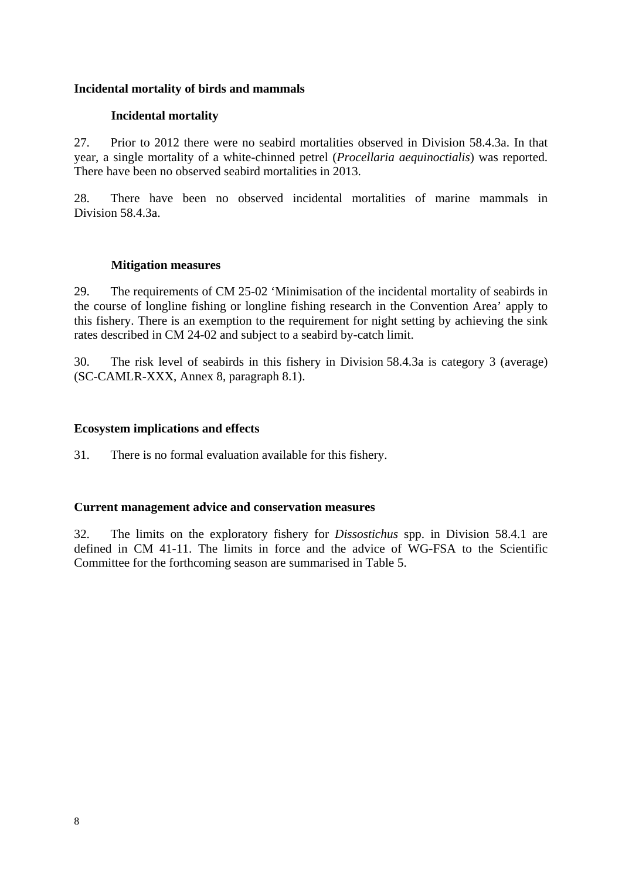## **Incidental mortality of birds and mammals**

# **Incidental mortality**

27. Prior to 2012 there were no seabird mortalities observed in Division 58.4.3a. In that year, a single mortality of a white-chinned petrel (*Procellaria aequinoctialis*) was reported. There have been no observed seabird mortalities in 2013.

28. There have been no observed incidental mortalities of marine mammals in Division 58.4.3a.

## **Mitigation measures**

29. The requirements of CM 25-02 'Minimisation of the incidental mortality of seabirds in the course of longline fishing or longline fishing research in the Convention Area' apply to this fishery. There is an exemption to the requirement for night setting by achieving the sink rates described in CM 24-02 and subject to a seabird by-catch limit.

30. The risk level of seabirds in this fishery in Division 58.4.3a is category 3 (average) (SC-CAMLR-XXX, Annex 8, paragraph 8.1).

## **Ecosystem implications and effects**

31. There is no formal evaluation available for this fishery.

## **Current management advice and conservation measures**

32. The limits on the exploratory fishery for *Dissostichus* spp. in Division 58.4.1 are defined in CM 41-11. The limits in force and the advice of WG-FSA to the Scientific Committee for the forthcoming season are summarised in Table 5.